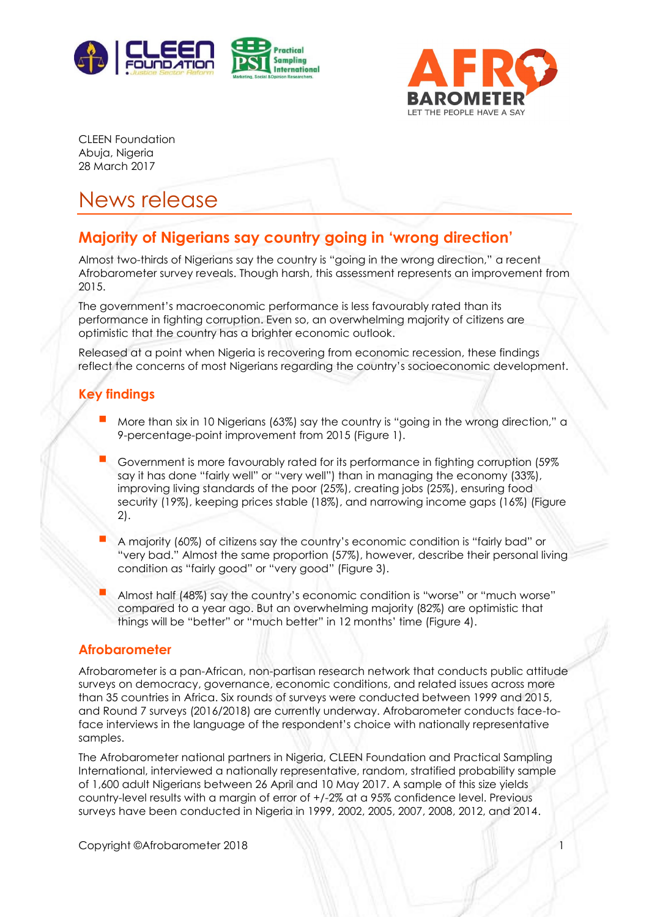



CLEEN Foundation Abuja, Nigeria 28 March 2017

# News release

## **Majority of Nigerians say country going in 'wrong direction'**

Almost two-thirds of Nigerians say the country is "going in the wrong direction," a recent Afrobarometer survey reveals. Though harsh, this assessment represents an improvement from 2015.

The government's macroeconomic performance is less favourably rated than its performance in fighting corruption. Even so, an overwhelming majority of citizens are optimistic that the country has a brighter economic outlook.

Released at a point when Nigeria is recovering from economic recession, these findings reflect the concerns of most Nigerians regarding the country's socioeconomic development.

#### **Key findings**

- More than six in 10 Nigerians (63%) say the country is "going in the wrong direction," <sup>a</sup> 9-percentage-point improvement from 2015 (Figure 1).
- Government is more favourably rated for its performance in fighting corruption (59% say it has done "fairly well" or "very well") than in managing the economy (33%), improving living standards of the poor (25%), creating jobs (25%), ensuring food security (19%), keeping prices stable (18%), and narrowing income gaps (16%) (Figure 2).
- A majority (60%) of citizens say the country's economic condition is "fairly bad" or "very bad." Almost the same proportion (57%), however, describe their personal living condition as "fairly good" or "very good" (Figure 3).
- Almost half (48%) say the country's economic condition is "worse" or "much worse" compared to a year ago. But an overwhelming majority (82%) are optimistic that things will be "better" or "much better" in 12 months' time (Figure 4).

#### **Afrobarometer**

Afrobarometer is a pan-African, non-partisan research network that conducts public attitude surveys on democracy, governance, economic conditions, and related issues across more than 35 countries in Africa. Six rounds of surveys were conducted between 1999 and 2015, and Round 7 surveys (2016/2018) are currently underway. Afrobarometer conducts face-toface interviews in the language of the respondent's choice with nationally representative samples.

The Afrobarometer national partners in Nigeria, CLEEN Foundation and Practical Sampling International, interviewed a nationally representative, random, stratified probability sample of 1,600 adult Nigerians between 26 April and 10 May 2017. A sample of this size yields country-level results with a margin of error of +/-2% at a 95% confidence level. Previous surveys have been conducted in Nigeria in 1999, 2002, 2005, 2007, 2008, 2012, and 2014.

Copyright ©Afrobarometer 2018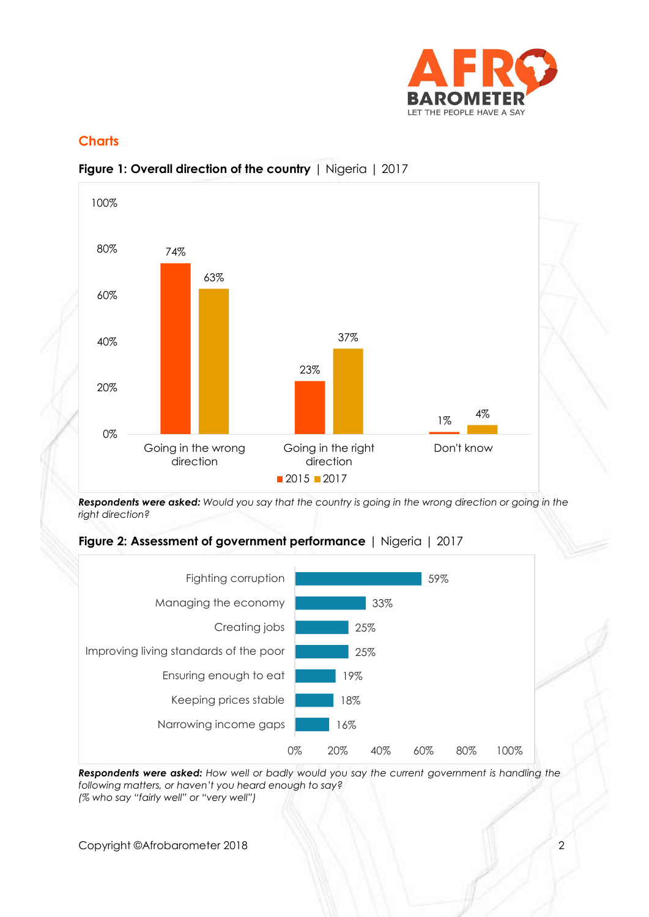

### **Charts**



#### **Figure 1: Overall direction of the country** | Nigeria | 2017

*Respondents were asked: Would you say that the country is going in the wrong direction or going in the right direction?*





*Respondents were asked: How well or badly would you say the current government is handling the following matters, or haven't you heard enough to say? (% who say "fairly well" or "very well")*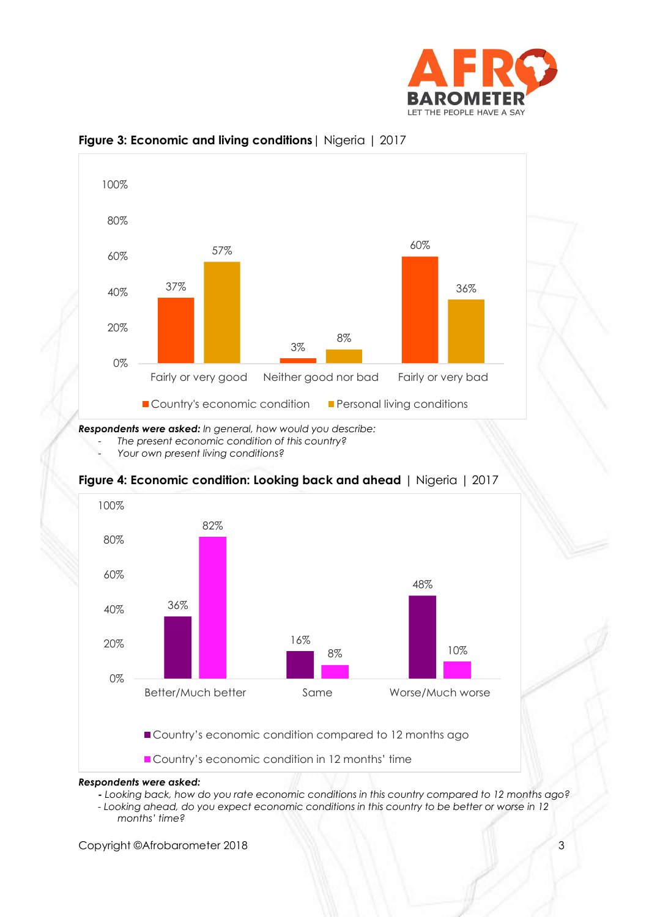



#### **Figure 3: Economic and living conditions**| Nigeria | 2017

*Respondents were asked: In general, how would you describe:*

- *The present economic condition of this country?*
- *Your own present living conditions?*



#### **Figure 4: Economic condition: Looking back and ahead** | Nigeria | 2017

Country's economic condition compared to 12 months ago

Country's economic condition in 12 months' time

#### *Respondents were asked:*

- *- Looking back, how do you rate economic conditions in this country compared to 12 months ago?*
- *- Looking ahead, do you expect economic conditions in this country to be better or worse in 12 months' time?*